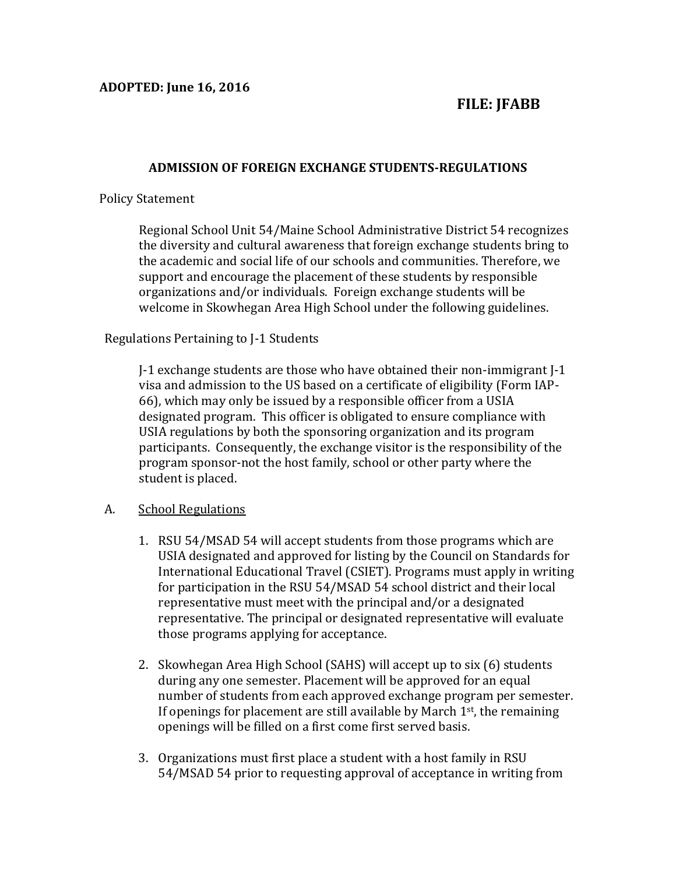# **FILE: JFABB**

# **ADMISSION OF FOREIGN EXCHANGE STUDENTS-REGULATIONS**

### Policy Statement

Regional School Unit 54/Maine School Administrative District 54 recognizes the diversity and cultural awareness that foreign exchange students bring to the academic and social life of our schools and communities. Therefore, we support and encourage the placement of these students by responsible organizations and/or individuals. Foreign exchange students will be welcome in Skowhegan Area High School under the following guidelines.

# Regulations Pertaining to J-1 Students

J-1 exchange students are those who have obtained their non-immigrant J-1 visa and admission to the US based on a certificate of eligibility (Form IAP-66), which may only be issued by a responsible officer from a USIA designated program. This officer is obligated to ensure compliance with USIA regulations by both the sponsoring organization and its program participants. Consequently, the exchange visitor is the responsibility of the program sponsor-not the host family, school or other party where the student is placed.

### A. School Regulations

- 1. RSU 54/MSAD 54 will accept students from those programs which are USIA designated and approved for listing by the Council on Standards for International Educational Travel (CSIET). Programs must apply in writing for participation in the RSU 54/MSAD 54 school district and their local representative must meet with the principal and/or a designated representative. The principal or designated representative will evaluate those programs applying for acceptance.
- 2. Skowhegan Area High School (SAHS) will accept up to six (6) students during any one semester. Placement will be approved for an equal number of students from each approved exchange program per semester. If openings for placement are still available by March  $1<sup>st</sup>$ , the remaining openings will be filled on a first come first served basis.
- 3. Organizations must first place a student with a host family in RSU 54/MSAD 54 prior to requesting approval of acceptance in writing from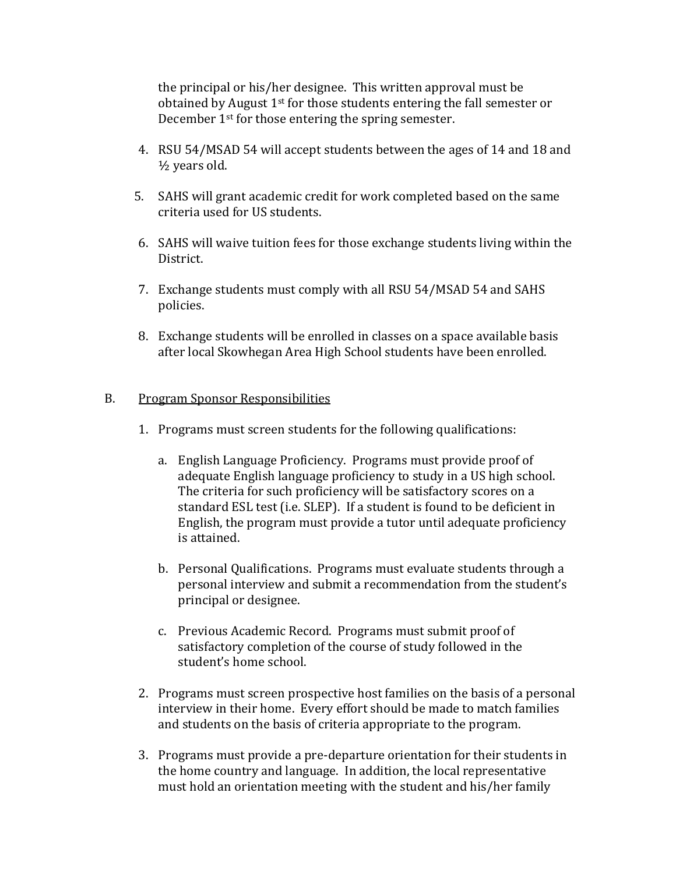the principal or his/her designee. This written approval must be obtained by August 1st for those students entering the fall semester or December 1st for those entering the spring semester.

- 4. RSU 54/MSAD 54 will accept students between the ages of 14 and 18 and ½ years old.
- 5. SAHS will grant academic credit for work completed based on the same criteria used for US students.
- 6. SAHS will waive tuition fees for those exchange students living within the District.
- 7. Exchange students must comply with all RSU 54/MSAD 54 and SAHS policies.
- 8. Exchange students will be enrolled in classes on a space available basis after local Skowhegan Area High School students have been enrolled.

# B. Program Sponsor Responsibilities

- 1. Programs must screen students for the following qualifications:
	- a. English Language Proficiency. Programs must provide proof of adequate English language proficiency to study in a US high school. The criteria for such proficiency will be satisfactory scores on a standard ESL test (i.e. SLEP). If a student is found to be deficient in English, the program must provide a tutor until adequate proficiency is attained.
	- b. Personal Qualifications. Programs must evaluate students through a personal interview and submit a recommendation from the student's principal or designee.
	- c. Previous Academic Record. Programs must submit proof of satisfactory completion of the course of study followed in the student's home school.
- 2. Programs must screen prospective host families on the basis of a personal interview in their home. Every effort should be made to match families and students on the basis of criteria appropriate to the program.
- 3. Programs must provide a pre-departure orientation for their students in the home country and language. In addition, the local representative must hold an orientation meeting with the student and his/her family